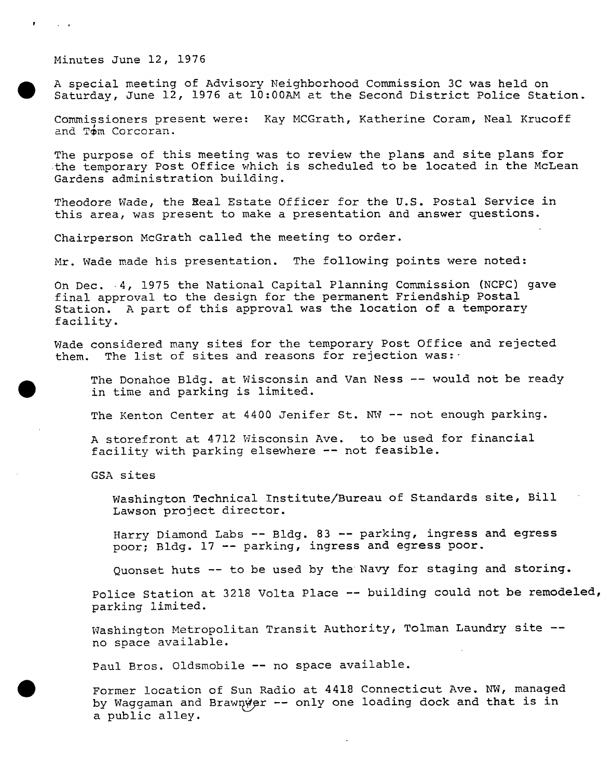Minutes June 12, 1976

<sup>A</sup> special meeting of Advisory Neighborhood Commission 3C was held on Saturday, June 12, <sup>1976</sup> at 10:00AM at the Second District Police Station.

Commissioners present were: Kay MCGrath, Katherine Coram, Neal Krucoff and Tom Corcoran.

The purpose of this meeting was to review the plans and site plans for the temporary Post Office which is scheduled to be located in the McLean Gardens administration building.

Theodore Wade, the Real Estate Officer for the U.S. Postal Service in this area, was present to make a presentation and answer questions.

Chairperson McGrath called the meeting to order.

Mr. Wade made his presentation. The following points were noted:

On Dec. 4, 1975 the National Capital Planning Commission (NCPC) gave final approval to the design for the permanent Friendship Postal Station. <sup>A</sup> part of this approval was the location of a temporary facility.

Wade considered many sites for the temporary Post Office and rejected them. The list of sites and reasons for rejection was:

The Donahoe Bldg. at Wisconsin and Van Ness -- would not be ready in time and parking is limited.

The Kenton Center at 4400 Jenifer St. NW -- not enough parking.

<sup>A</sup> storefront at 4712 Wisconsin Ave. to be used for financial facility with parking elsewhere -- not feasible.

GSA sites

Washington Technical Institute/Bureau of Standards site, Bill Lawson project director.

Harry Diamond Labs — Bldg. 83 — parking, ingress and egress poor; Bldg. 17 — parking, ingress and egress poor.

Quonset huts -- to be used by the Navy for staging and storing.

Police Station at 3218 Volta Place -- building could not be remodeled, parking limited.

Washington Metropolitan Transit Authority, Tolman Laundry site -no space available.

Paul Bros. Oldsmobile — no space available.

Former location of Sun Radio at 4418 Connecticut Ave. NW, managed by Waggaman and Brawnwer -- only one loading dock and that is in a public alley.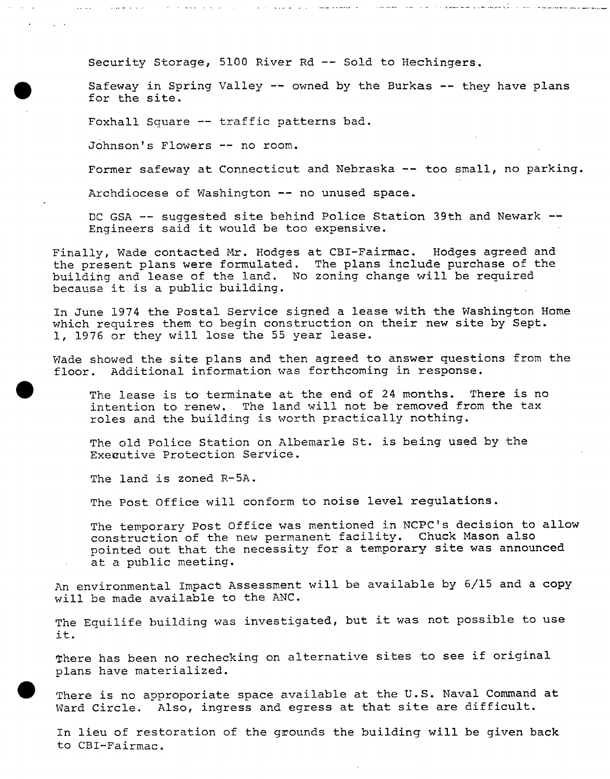Security Storage, 5100 River Rd — Sold to Hechingers.

and the second control and a second con-

Safeway in Spring Valley — owned by the Burkas — they have plans for the site.

أتوارد التوادي المعاينة عددنا

ی کارکنون دو و برخواند و در کشور از در دارد کرد که برای به این کشور است.<br>در این کشور دو و برخواند و در کشور است با در در دارد که اینکه به محل به این کشور است به محله به این کشور است ک

Foxhall Square -- traffic patterns bad.

Johnson's Flowers — no room.

Former safeway at Connecticut and Nebraska -- too small, no parking.

Archdiocese of Washington -- no unused space.

DC GSA -- suggested site behind Police Station 39th and Newark --Engineers said it would be too expensive.

Finally, Wade contacted Mr. Hodges at CBI-Fairmac. Hodges agreed and the present plans were formulated. The plans include purchase of the building and lease of the land. No zoning change will be required because it is <sup>a</sup> public building.

In June 1974 the Postal Service signed a lease with the Washington Home which requires them to begin construction on their new site by Sept. 1, 1976 or they will lose the <sup>55</sup> year lease.

Wade showed the site plans and then agreed to answer questions from the floor. Additional information was forthcoming in response.

The lease is to terminate at the end of <sup>24</sup> months. There is no intention to renew. The land will not be removed from the tax roles and the building is worth practically nothing.

The old Police Station on Albemarle St. is being used by the Executive Protection Service.

The land is zoned R-5A.

The Post Office will conform to noise level regulations.

The temporary Post Office was mentioned in NCPC's decision to allow construction of the new permanent facility. Chuck Mason also pointed out that the necessity for <sup>a</sup> temporary site was announced at a public meeting.

An environmental Impact Assessment will be available by 6/15 and a copy will be made available to the ANC.

The Equilife building was investigated, but it was not possible to use it.

There has been no rechecking on alternative sites to see if original plans have materialized.

There is no approporiate space available at the U.S. Naval Command at Ward Circle. Also, ingress and egress at that site are difficult.

In lieu of restoration of the grounds the building will be given back to CBI-Fairmac.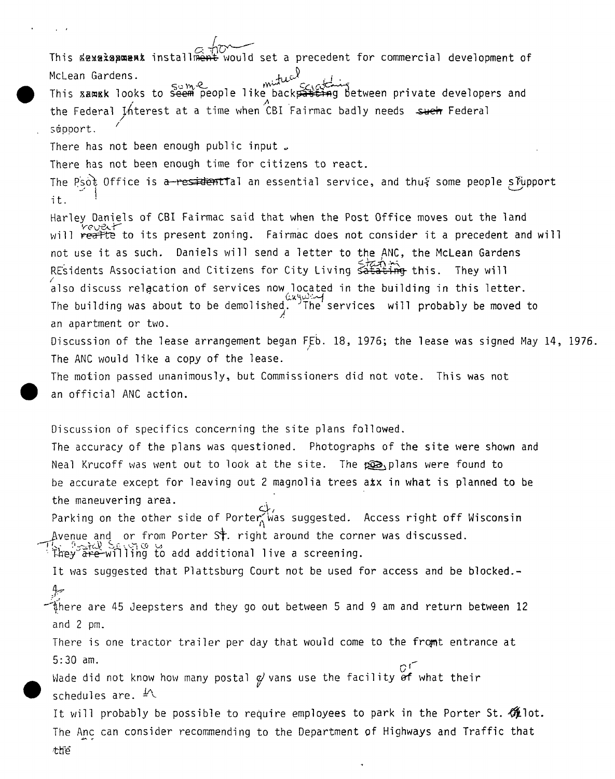This sexalapurat installment would set a precedent for commercial development of McLean Gardens.  $\mathbb{R}^{n}$ WCLEan Gardens.<br>This xamsk looks to seem people like backpasting between private developers and the Federal Interest at a time when CBI Fairmac badly needs such Federal support. There has not been enough public input  $\overline{J}$ There has not been enough time for citizens to react. The Psot Office is a—residentTal an essential service, and thus some people slupport it. Harley Daniels of CBI Fairmac said that when the Post Office moves out the land will reafte to its present zoning. Fairmac does not consider it a precedent and will not use it as such. Daniels will send <sup>a</sup> letter to the ANC, the McLean Gardens REsidents Association and Citizens for City Living satating this. They will also discuss relacation of services now located in the building in this letter. The building was about to be demolished. 'The services will probably be moved to an apartment or two. Discussion of the lease arrangement began FEb. 18, 1976; the lease was signed May 14, 1976. The ANC would like a copy of the lease. The motion passed unanimously, but Commissioners did not vote. This was not an official ANC action. Discussion of specifics concerning the site plans followed. The accuracy of the plans was questioned. Photographs of the site were shown and Neal Krucoff was went out to look at the site. The poolplans were found to be accurate except for leaving out 2 magnolia trees axx in what is planned to be the maneuvering area. Parking on the other side of Porter  $\widetilde{\wedge}$  was suggested. Access right off Wisconsin Avenue and or from Porter St. right around the corner was discussed.  $T_{\rm th}^{\rm event}$  of the  $\alpha$ They are willing to add additional live a screening. It was suggested that Plattsburg Court not be used for access and be blocked.-  $4$ there are 45 Jeepsters and they go out between 5 and 9 am and return between 12 and 2 pm. There is one tractor trailer per day that would come to the fromt entrance at 5:30 am. ! Wade did not know how many postal  $\mathcal{G}'$  vans use the facility  $\overset{G^+}{\mathsf{of}}$  what their schedules are.  $\frac{1}{2}$ It will probably be possible to require employees to park in the Porter St.  $\mathcal{H}$ lot. The Anc can consider recommending to the Department of Highways and Traffic that the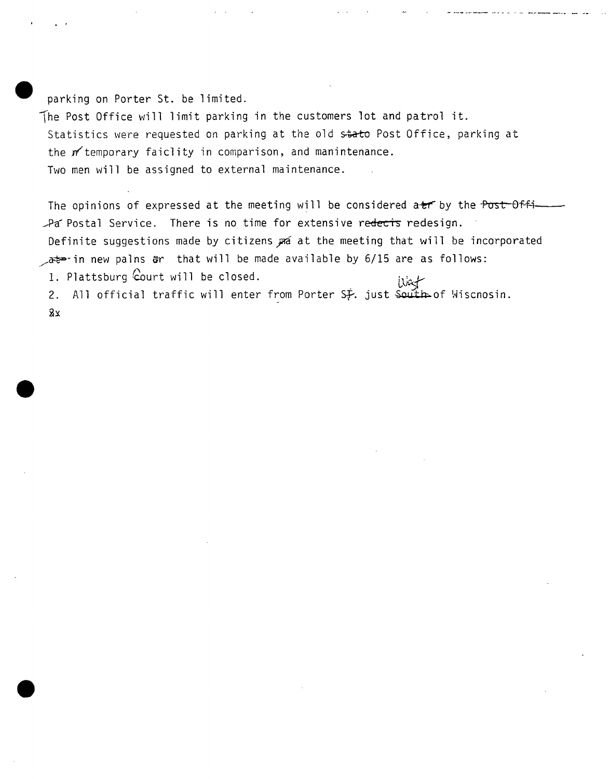parking on Porter St. be limited.

The Post Office will limit parking in the customers lot and patrol it. Statistics were requested on parking at the old stato Post Office, parking at the m'temporary faiclity in comparison, and manintenance. Two men will be assigned to external maintenance.

The opinions of expressed at the meeting will be considered at by the Post-Offi-Pa Postal Service. There is no time for extensive redects redesign. Definite suggestions made by citizens and at the meeting that will be incorporated  $\lambda$ at<sup>p</sup>-in new palns  $\mathfrak{g}$ r that will be made available by 6/15 are as follows: 1. Plattsburg  $\text{four will be closed.}$ 

2. All official traffic will enter from Porter  $S_F$ . just  $S$ outh of Wiscnosin.  $2x$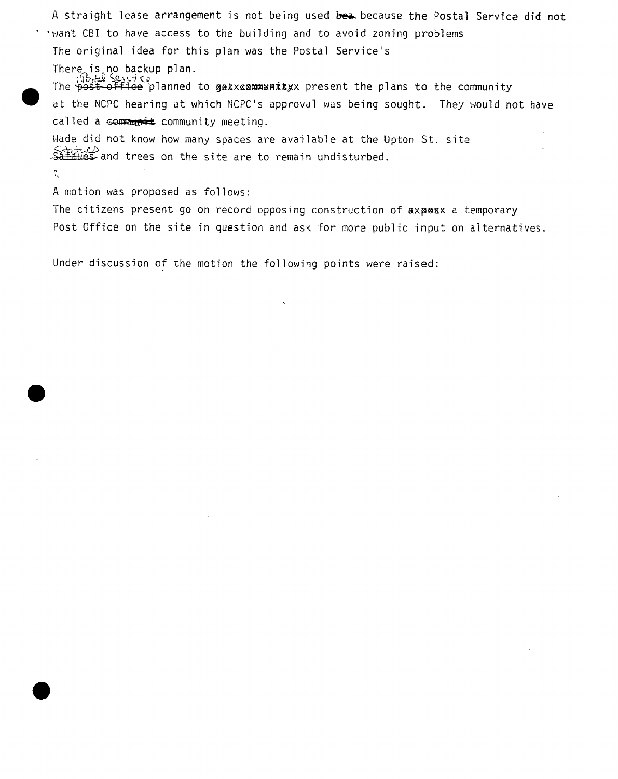A straight lease arrangement is not being used bea because the Postal Service did not want CBI to have access to the building and to avoid zoning problems The original idea for this plan was the Postal Service's There, is no backup plan. The Fight Sexitics of the gatx and antitive present the plans to the community at the NCPC hearing at which NCPC's approval was being sought. They would not have called a  $\epsilon$ ommunity meeting. Wade did not know how many spaces are available at the Upton St. site Sataties and trees on the site are to remain undisturbed.

<sup>A</sup> motion was proposed as follows:

 $\mathcal{C}_\chi$ 

The citizens present go on record opposing construction of axpaxx a temporary Post Office on the site in question and ask for more public input on alternatives.

Under discussion of the motion the following points were raised: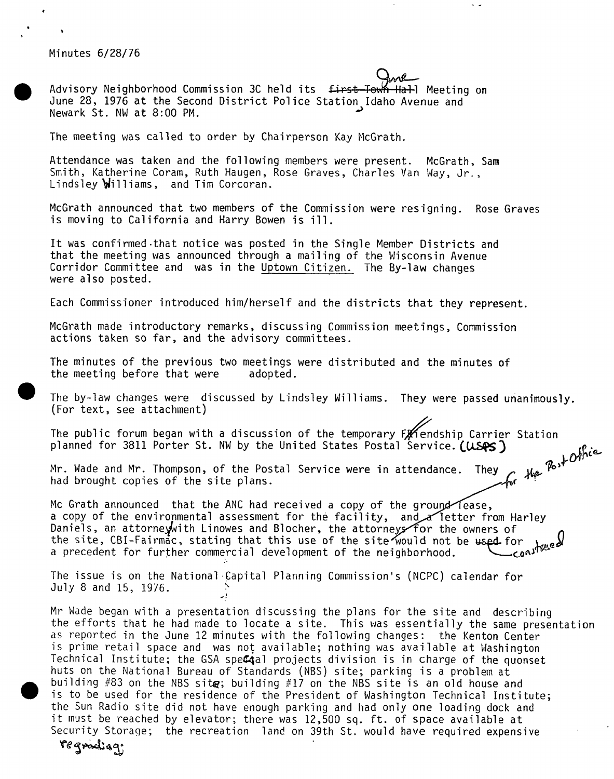Minutes 6/28/76

Advisory Neighborhood Commission 3C held its first Town Hall Meeting on June 28, 1976 at the Second District Police Station Idaho Avenue and Newark St. NW at 8:00 PM.

The meeting was called to order by Chairperson Kay McGrath.

Attendance was taken and the following members were present. McGrath, Sam Smith, Katherine Coram, Ruth Haugen, Rose Graves, Charles Van Way, Jr., Lindsley *Williams*, and Tim Corcoran.

McGrath announced that two members of the Commission were resigning. Rose Graves is moving to California and Harry Bowen is ill.

It was confirmed-that notice was posted in the Single Member Districts and that the meeting was announced through a mailing of the Wisconsin Avenue Corridor Committee and was in the Uptown Citizen. The By-law changes were also posted.

Each Commissioner introduced him/herself and the districts that they represent.

McGrath made introductory remarks, discussing Commission meetings, Commission actions taken so far, and the advisory committees.

The minutes of the previous two meetings were distributed and the minutes of the meeting before that were adopted. the meeting before that were

The by-law changes were discussed by Lindsley Williams. They were passed unanimously. (For text, see attachment)

The public forum began with a discussion of the temporary  $F_{\mathcal{H}}$  endship Carrier Station planned for 3811 Porter St. NW by the United States Postal Service. (USAS) for the Post Office

Mr. Wade and Mr. Thompson, of the Postal Service were in attendance. They had brought copies of the site plans.

Mc Grath announced that the ANC had received a copy of the ground lease, a copy of the environmental assessment for the facility, and a letter from Harley Daniels, an attorney with Linowes and Blocher, the attorneys for the owners of the site, CBI-Fairmac, stating that this use of the site would not be used for <sup>a</sup> precedent for further commercial development of the neighborhood. ^ .construed

The issue is on the National Capital Planning Commission's (NCPC) calendar for July 8 and 15, 1976. ^

Mr Wade began with <sup>a</sup> presentation discussing the plans for the site and describing the efforts that he had made to locate <sup>a</sup> site. This was essentially the same presentation as reported in the June 12 minutes with the following changes: the Kenton Center is prime retail space and was not available; nothing was available at Washington Technical Institute; the GSA special projects division is in charge of the quonset huts on the National Bureau of Standards (NBS) site; parking is <sup>a</sup> problem at building #83 on the NBS sit $g$ ; building #17 on the NBS site is an old house and is to be used for the residence of the President of Washington Technical Institute; the Sun Radio site did not have enough parking and had only one loading dock and it must be reached by elevator; there was 12,500 sq. ft. of space available at Security Storage; the recreation land on 39th St. would have required expensive

regradiag.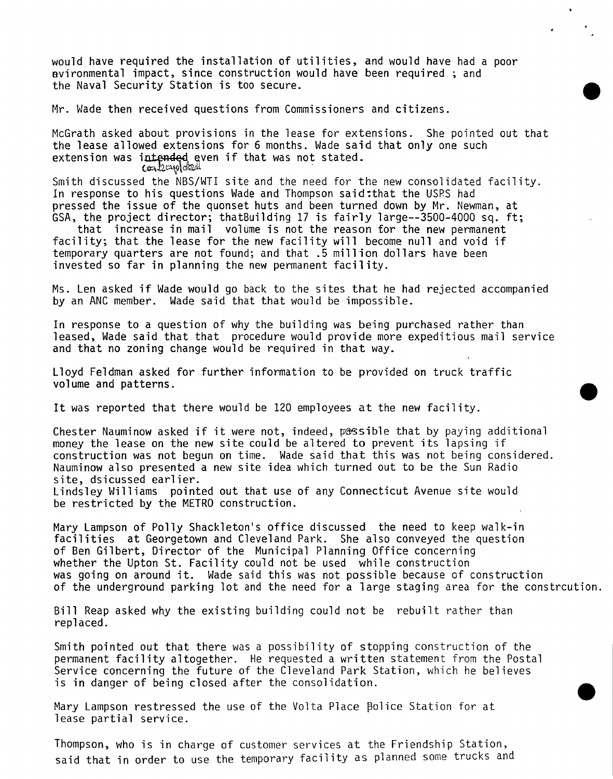would have required the installation of utilities, and would have had <sup>a</sup> poor Bvironmental impact, since construction would have been required ; and the Naval Security Station is too secure.

Mr. Wade then received questions from Commissioners and citizens.

McGrath asked about provisions in the lease for extensions. She pointed out that the lease allowed extensions for <sup>6</sup> months. Wade said that only one such extension was intended even if that was not stated.<br> $\cos\theta$ 

Smith discussed the NBS/WTI site and the need for the new consolidated facility. In response to his questions Wade and Thompson said:that the USRS had pressed the issue of the quonset huts and been turned down by Mr. Newman, at GSA, the project director; thatBuilding <sup>17</sup> is fairly large—3500-4000 sq. ft;

that increase in mail volume is not the reason for the new permanent facility; that the lease for the new facility will become null and void if temporary quarters are not found; and that .5 million dollars have been invested so far in planning the new permanent facility.

Ms. Len asked if Wade would go back to the sites that he had rejected accompanied by an ANC member. Wade said that that would be impossible.

In response to a question of why the building was being purchased rather than leased, Wade said that that procedure would provide more expeditious mail service and that no zoning change would be required in that way.

Lloyd Feldman asked for further information to be provided on truck traffic volume and patterns.

It was reported that there would be <sup>120</sup> employees at the new facility.

Chester Nauminow asked if it were not, indeed, possible that by paying additional money the lease on the new site could be altered to prevent its lapsing if construction was not begun on time. Wade said that this was not being considered. Nauminow also presented a new site idea which turned out to be the Sun Radio site, dsicussed earlier. Lindsley Williams pointed out that use of any Connecticut Avenue site would be restricted by the METRO construction.

Mary Lampson of Polly Shackleton's office discussed the need to keep walk-in facilities at Georgetown and Cleveland Park. She also conveyed the question of Ben Gilbert, Director of the Municipal Planning Office concerning whether the Upton St. Facility could not be used while construction was going on around it. Wade said this was not possible because of construction of the underground parking lot and the need for a large staging area for the constrcution.

Bill Reap asked why the existing building could not be rebuilt rather than replaced.

Smith pointed out that there was <sup>a</sup> possibility of stopping construction of the permanent facility altogether. He requested <sup>a</sup> written statement from the Postal Service concerning the future of the Cleveland Park Station, which he believes is in danger of being closed after the consolidation.

Mary Lampson restressed the use of the Volta Place police Station for at lease partial service.

Thompson, who is in charge of customer services at the Friendship Station, said that in order to use the temporary facility as planned some trucks and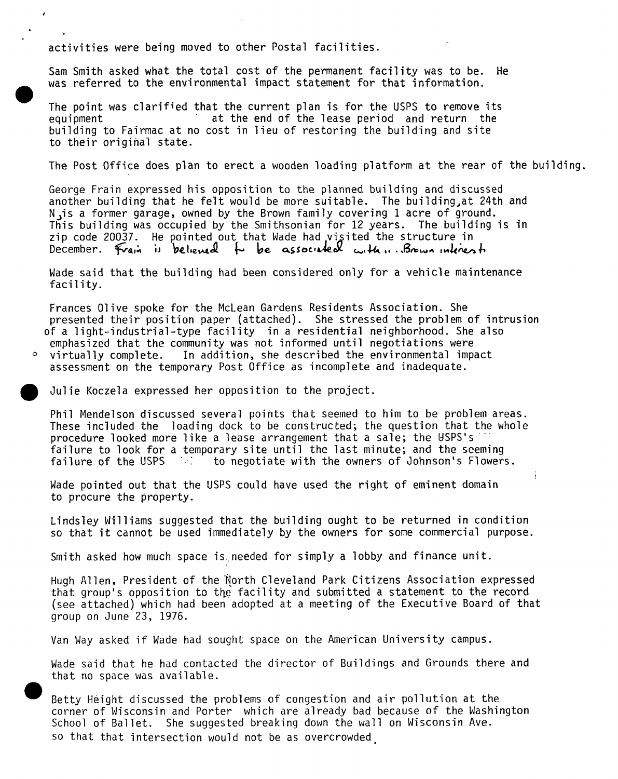activities were being moved to other Postal facilities.

 $\cdot$ 

Sam Smith asked what the total cost of the permanent facility was to be. He was referred to the environmental impact statement for that information.

The point was clarified that the current plan is for the USPS to remove its equipment<br>at the end of the lease period and return the at the end of the lease period and return the building to Fairmac at no cost in lieu of restoring the building and site to their original state.

The Post Office does plan to erect a wooden loading platform at the rear of the building.

George Frain expressed his opposition to the planned building and discussed another building that he felt would be more suitable. The building^at 24th and Njis a former garage, owned by the Brown family covering <sup>1</sup> acre of ground. This building was occupied by the Smithsonian for <sup>12</sup> years. The building is in zip code 20037. He pointed out that Wade had visited the structure in December. Frain is believed to be associated with ... Brown interest

Wade said that the building had been considered only for a vehicle maintenance facility.

Frances Olive spoke for the McLean Gardens Residents Association. She presented their position paper (attached). She stressed the problem of intrusion of <sup>a</sup> light-industrial-type facility in <sup>a</sup> residential neighborhood. She also

emphasized that the community was not informed until negotiations were<br>virtually complete. In addition, she described the environmental imp In addition, she described the environmental impact assessment on the temporary Post Office as incomplete and inadequate.

Julie Koczela expressed her opposition to the project.

Phil Mendelson discussed several points that seemed to him to be problem areas. These included the loading dock to be constructed; the question that the whole procedure looked more like a lease arrangement that a sale; the USPS's failure to look for a temporary site until the last minute; and the seeming failure of the USPS and the negotiate with the owners of Johnson's Flowers to negotiate with the owners of Johnson's Flowers.

Wade pointed out that the USPS could have used the right of eminent domain to procure the property.

Lindsley Williams suggested that the building ought to be returned in condition so that it cannot be used immediately by the owners for some commercial purpose.

t

Smith asked how much space is needed for simply a lobby and finance unit.

Hugh Allen, President of the 'North Cleveland Park Citizens Association expressed that group's opposition to the facility and submitted a statement to the record (see attached) which had been adopted at a meeting of the Executive Board of that group on June 23, 1976.

Van Way asked if Wade had sought space on the American University campus.

Wade said that he had contacted the director of Buildings and Grounds there and that no space was available.

Betty Height discussed the problems of congestion and air pollution at the corner of Wisconsin and Porter which are already bad because of the Washington School of Ballet. She suggested breaking down the wall on Wisconsin Ave. so that that intersection would not be as overcrowded\_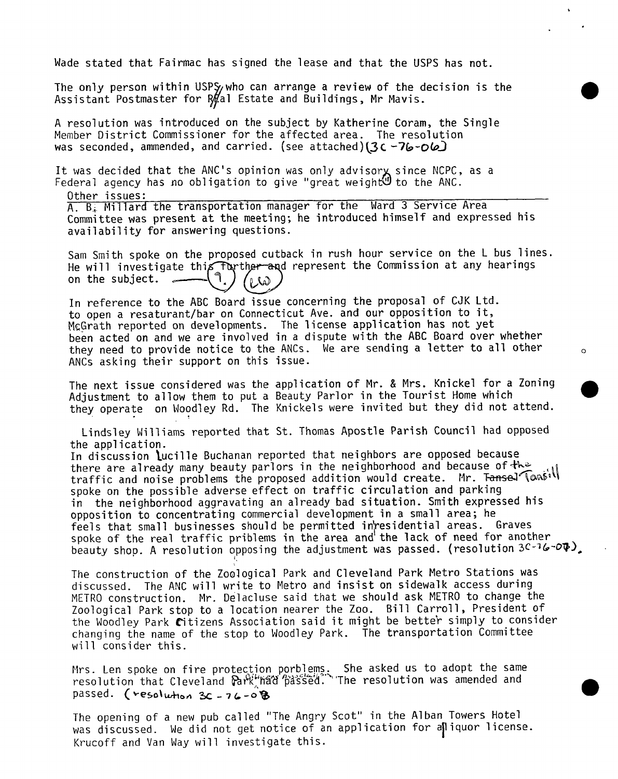Wade stated that Fairmac has signed the lease and that the USPS has not.

The only person within USPS<sub>/</sub>who can arrange a review of the decision is the Assistant Postmaster for  $R\#$ al Estate and Buildings, Mr Mavis.

<sup>A</sup> resolution was introduced on the subject by Katherine Coram, the Single Member District Commissioner for the affected area. The resolution was seconded, ammended, and carried. (see attached)(3c-76-06)

It was decided that the ANC's opinion was only advisory since NCPC, as a Federal agency has no obligation to give "great weight" to the ANC.

Other issues:

A. B.i. Millard the transportation manager for the Ward <sup>3</sup> Service Area Committee was present at the meeting; he introduced himself and expressed his availability for answering questions.

Sam Smith spoke on the proposed cutback in rush hour service on the <sup>L</sup> bus lines, He will investigate this further and represent the Commission at any hearings<br>on the subject.  $\bigcap_{\alpha\in\Lambda} \bigcap_{\alpha\in\Lambda}$ on the subject.  $\sim$  $\omega_1$ 

In reference to the ABC Board issue concerning the proposal of CJK Ltd. to open <sup>a</sup> resaturant/bar on Connecticut Ave. and our opposition to it, McGrath reported on developments. The license application has not yet been acted on and we are involved in <sup>a</sup> dispute with the ABC Board over whether they need to provide notice to the ANCs. We are sending <sup>a</sup> letter to all other ANCs asking their support on this issue.

The next issue considered was the application of Mr. & Mrs. Knickel for a Zoning Adjustment to allow them to put a Beauty Parlor in the Tourist Home which they operate on Woodley Rd. The Knickels were invited but they did not attend.

Lindsley Williams reported that St. Thomas Apostle Parish Council had opposed the application.

In discussion lucille Buchanan reported that neighbors are opposed because there are already many beauty parlors in the neighborhood and because of the traffic and noise problems the proposed addition would create. Mr. Tansel Tons'll spoke on the possible adverse effect on traffic circulation and parking in the neighborhood aggravating an already bad situation. Smith expressed his opposition to concentrating commercial development in a small area; he feels that small businesses should be permitted in residential areas. Graves spoke of the real traffic priblems in the area and the lack of need for another beauty shop. A resolution opposing the adjustment was passed. (resolution  $3C-76-04$ ).

The construction of the Zoological Park and Cleveland Park Metro Stations was discussed. The ANC will write to Metro and insist on sidewalk access during METRO construction. Mr. Delacluse said that we should ask METRO to change the Zoological Park stop to a location nearer the Zoo. Bill Carroll, President of the Woodley Park Citizens Association said it might be better simply to consider changing the name of the stop to Woodley Park. The transportation Committee will consider this.

Mrs. Len spoke on fire protection porblems. She asked us to adopt the same resolution that Cleveland ^Vse<S',%'The resolution was amended and passed. (resolution  $3c - 76 - 0.8$ 

The opening of a new pub called "The Angry Scot" in the Alban Towers Hotel was discussed. We did not get notice of an application for alliquor license. Krucoff and Van Way will investigate this.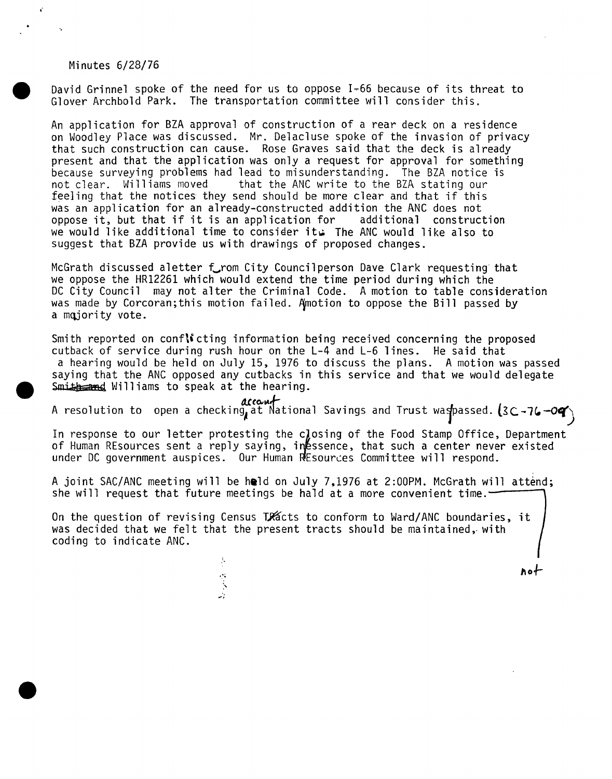#### Minutes 6/28/76

¢.

David Grinnel spoke of the need for us to oppose 1-66 because of its threat to Glover Archbold Park. The transportation committee will consider this.

An application for BZA approval of construction of a rear deck on a residence on Woodley Place was discussed. Mr. Delacluse spoke of the invasion of privacy that such construction can cause. Rose Graves said that the deck is already present and that the application was only a request for approval for something because surveying problems had lead to misunderstanding. The BZA notice is<br>not clear. Williams moved that the ANC write to the BZA stating our that the ANC write to the BZA stating our feeling that the notices they send should be more clear and that if this was an application for an already-constructed addition the ANC does not<br>oppose it, but that if it is an application for additional construction oppose it, but that if it is an application for we would like additional time to consider its The ANC would like also to suggest that BZA provide us with drawings of proposed changes.

McGrath discussed aletter from City Council person Dave Clark requesting that we oppose the HR12261 which would extend the time period during which the DC City Council may not alter the Criminal Code. <sup>A</sup> motion to table consideration was made by Corcoran; this motion failed. Amotion to oppose the Bill passed by a majority vote.

Smith reported on conflicting information being received concerning the proposed cutback of service during rush hour on the L-4 and L-6 lines. He said that a hearing would be held on July 15, 1976 to discuss the plans. <sup>A</sup> motion was passed saying that the ANC opposed any cutbacks in this service and that we would delegate  $Smith = and$  Williams to speak at the hearing.

account<br>A resolution to open a checking at National Savings and Trust waspassed. (3C-76-09)

In response to our letter protesting the closing of the Food Stamp Office, Department of Human REsources sent a reply saying, injessence, that such a center never existed under DC government auspices. Our Human REsources Committee will respond.

A joint SAC/ANC meeting will be held on July 7,1976 at 2:00PM. McGrath will attend; she will request that future meetings be hald at a more convenient time. $-$ 

On the question of revising Census TRacts to conform to Ward/ANC boundaries, it was decided that we felt that the present tracts should be maintained, with coding to indicate ANC.

ho-h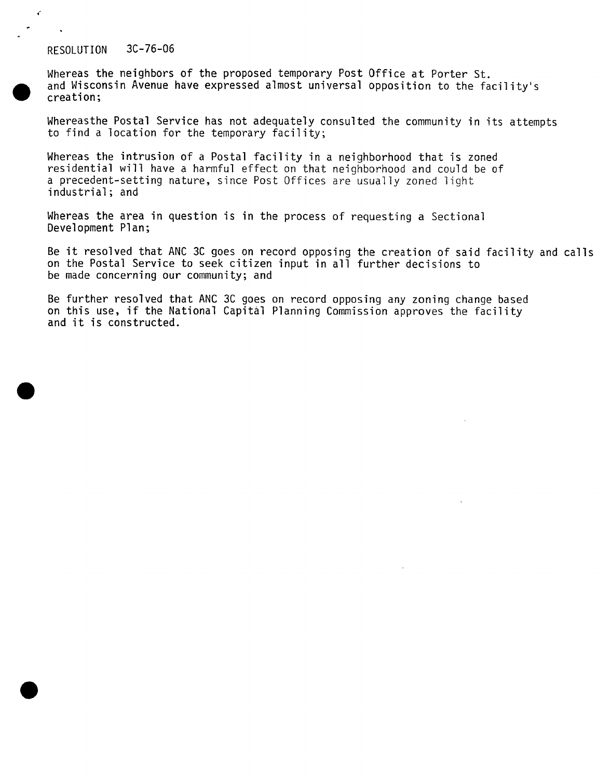# RESOLUTION 3C-76-06

Whereas the neighbors of the proposed temporary Post Office at Porter St. and Wisconsin Avenue have expressed almost universal opposition to the facility's creation;

Whereasthe Postal Service has not adequately consulted the community in its attempts to find <sup>a</sup> location for the temporary facility;

Whereas the intrusion of <sup>a</sup> Postal facility in <sup>a</sup> neighborhood that is zoned residential will have a harmful effect on that neighborhood and could be of <sup>a</sup> precedent-setting nature, since Post Offices are usually zoned light industrial; and

Whereas the area in question is in the process of requesting a Sectional Development Plan;

Be it resolved that ANC 3C goes on record opposing the creation of said facility and calls on the Postal Service to seek citizen input in all further decisions to be made concerning our community; and

Be further resolved that ANC 3C goes on record opposing any zoning change based on this use, if the National Capital Planning Commission approves the facility and it is constructed.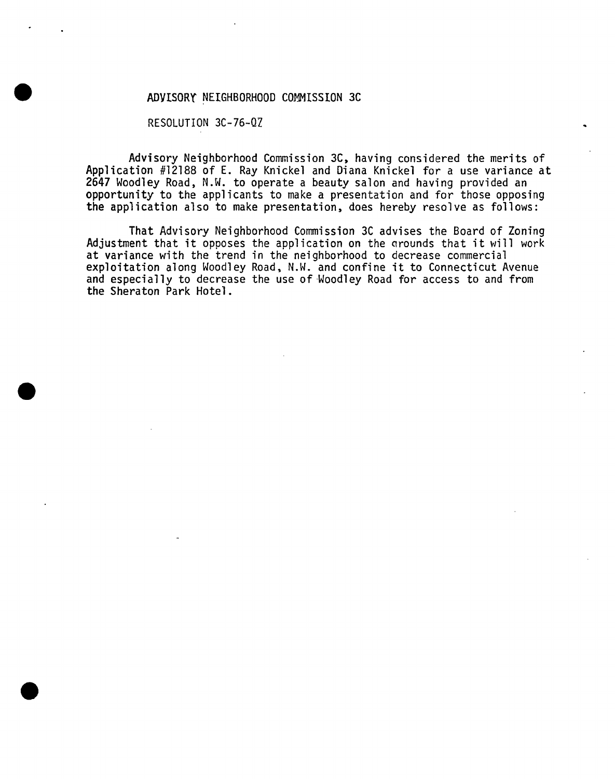### ADVISORY" NEIGHBORHOOD COMMISSION 3C

RESOLUTION 3C-76-QZ

Advisory Neighborhood Commission 3C, having considered the merits of Application #12188 of E. Ray Knickel and Diana Knickel for <sup>a</sup> use variance at 2647 Woodley Road, N.W. to operate a beauty salon and having provided an opportunity to the applicants to make a presentation and for those opposing the application also to make presentation, does hereby resolve as follows:

That Advisory Neighborhood Commission 3C advises the Board of Zoning Adjustment that it opposes the application on the grounds that it will work at variance with the trend in the neighborhood to decrease commercial exploitation along Woodley Road, N.W. and confine it to Connecticut Avenue and especially to decrease the use of Woodley Road for access to and from the Sheraton Park Hotel.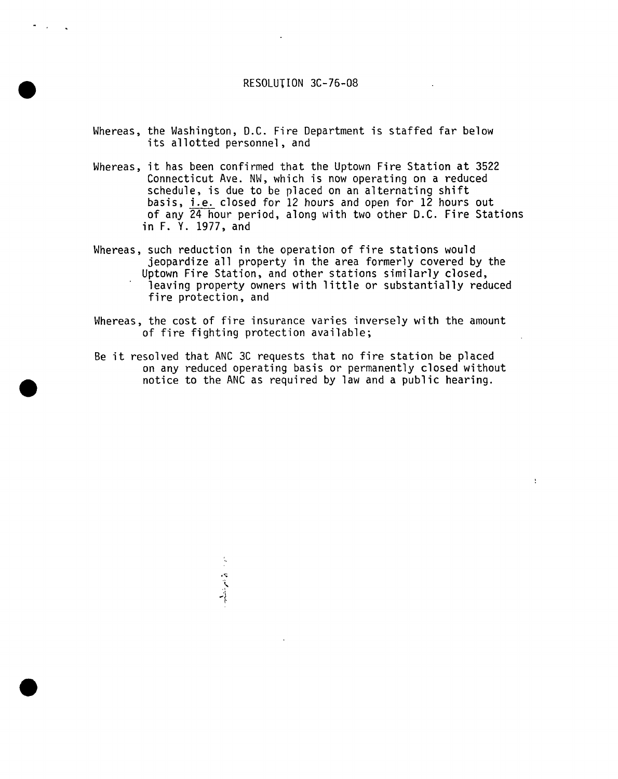# RESOLUTION 3C-76-08

- Whereas, the Washington, D.C. Fire Department is staffed far below its allotted personnel, and
- Whereas, it has been confirmed that the Uptown Fire Station at <sup>3522</sup> Connecticut Ave. NW, which is now operating on a reduced schedule, is due to be placed on an alternating shift basis, i.e. closed for 12 hours and open for 12 hours out of any 24 hour period, along with two other D.C. Fire Stations in F. Y. 1977, and
- Whereas, such reduction in the operation of fire stations would jeopardize all property in the area formerly covered by the Uptown Fire Station, and other stations similarly closed, leaving property owners with little or substantially reduced fire protection, and
- Whereas, the cost of fire insurance varies inversely with the amount of fire fighting protection available;
- Be it resolved that ANC 3C requests that no fire station be placed on any reduced operating basis or permanently closed without notice to the ANC as required by law and a public hearing.

 $\frac{1}{2}$ 

'}